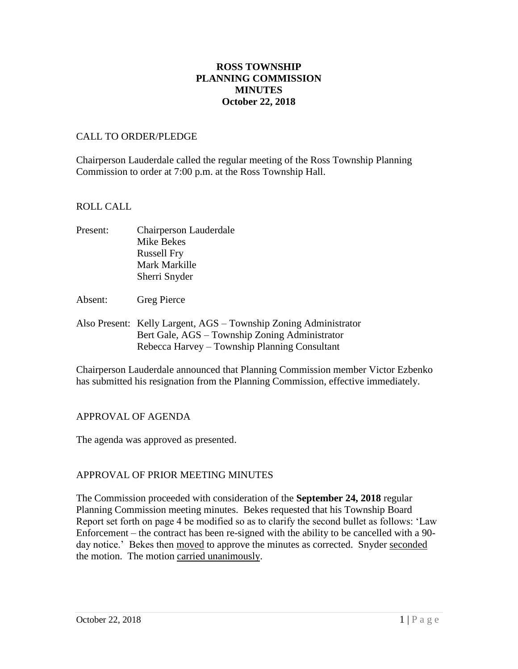# **ROSS TOWNSHIP PLANNING COMMISSION MINUTES October 22, 2018**

## CALL TO ORDER/PLEDGE

Chairperson Lauderdale called the regular meeting of the Ross Township Planning Commission to order at 7:00 p.m. at the Ross Township Hall.

### ROLL CALL

| Present: | Chairperson Lauderdale |
|----------|------------------------|
|          | Mike Bekes             |
|          | <b>Russell Fry</b>     |
|          | Mark Markille          |
|          | Sherri Snyder          |
|          |                        |

- Absent: Greg Pierce
- Also Present: Kelly Largent, AGS Township Zoning Administrator Bert Gale, AGS – Township Zoning Administrator Rebecca Harvey – Township Planning Consultant

Chairperson Lauderdale announced that Planning Commission member Victor Ezbenko has submitted his resignation from the Planning Commission, effective immediately.

# APPROVAL OF AGENDA

The agenda was approved as presented.

# APPROVAL OF PRIOR MEETING MINUTES

The Commission proceeded with consideration of the **September 24, 2018** regular Planning Commission meeting minutes. Bekes requested that his Township Board Report set forth on page 4 be modified so as to clarify the second bullet as follows: 'Law Enforcement – the contract has been re-signed with the ability to be cancelled with a 90 day notice.' Bekes then moved to approve the minutes as corrected. Snyder seconded the motion. The motion carried unanimously.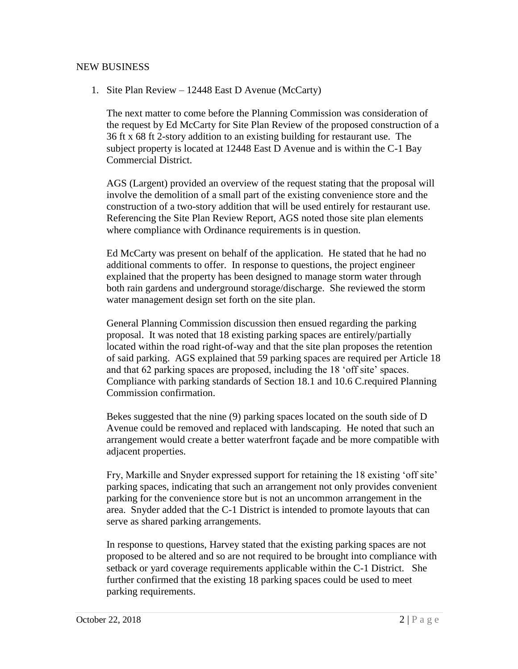### NEW BUSINESS

1. Site Plan Review – 12448 East D Avenue (McCarty)

The next matter to come before the Planning Commission was consideration of the request by Ed McCarty for Site Plan Review of the proposed construction of a 36 ft x 68 ft 2-story addition to an existing building for restaurant use. The subject property is located at 12448 East D Avenue and is within the C-1 Bay Commercial District.

AGS (Largent) provided an overview of the request stating that the proposal will involve the demolition of a small part of the existing convenience store and the construction of a two-story addition that will be used entirely for restaurant use. Referencing the Site Plan Review Report, AGS noted those site plan elements where compliance with Ordinance requirements is in question.

Ed McCarty was present on behalf of the application. He stated that he had no additional comments to offer. In response to questions, the project engineer explained that the property has been designed to manage storm water through both rain gardens and underground storage/discharge. She reviewed the storm water management design set forth on the site plan.

General Planning Commission discussion then ensued regarding the parking proposal. It was noted that 18 existing parking spaces are entirely/partially located within the road right-of-way and that the site plan proposes the retention of said parking. AGS explained that 59 parking spaces are required per Article 18 and that 62 parking spaces are proposed, including the 18 'off site' spaces. Compliance with parking standards of Section 18.1 and 10.6 C.required Planning Commission confirmation.

Bekes suggested that the nine (9) parking spaces located on the south side of D Avenue could be removed and replaced with landscaping. He noted that such an arrangement would create a better waterfront façade and be more compatible with adjacent properties.

Fry, Markille and Snyder expressed support for retaining the 18 existing 'off site' parking spaces, indicating that such an arrangement not only provides convenient parking for the convenience store but is not an uncommon arrangement in the area. Snyder added that the C-1 District is intended to promote layouts that can serve as shared parking arrangements.

In response to questions, Harvey stated that the existing parking spaces are not proposed to be altered and so are not required to be brought into compliance with setback or yard coverage requirements applicable within the C-1 District. She further confirmed that the existing 18 parking spaces could be used to meet parking requirements.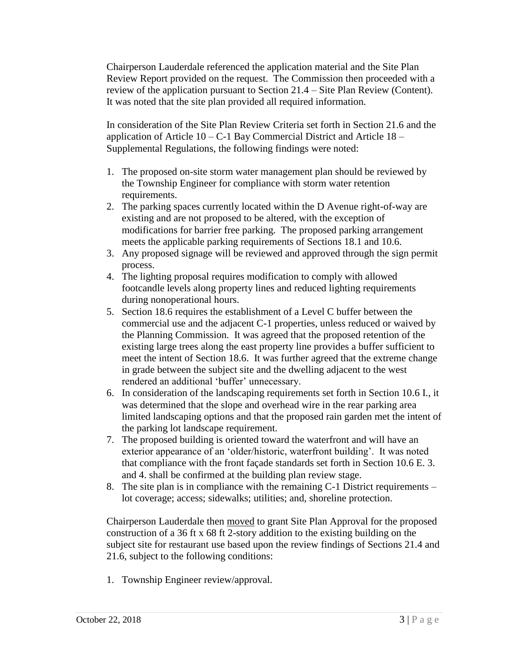Chairperson Lauderdale referenced the application material and the Site Plan Review Report provided on the request. The Commission then proceeded with a review of the application pursuant to Section 21.4 – Site Plan Review (Content). It was noted that the site plan provided all required information.

In consideration of the Site Plan Review Criteria set forth in Section 21.6 and the application of Article  $10 - C - 1$  Bay Commercial District and Article  $18 - C$ Supplemental Regulations, the following findings were noted:

- 1. The proposed on-site storm water management plan should be reviewed by the Township Engineer for compliance with storm water retention requirements.
- 2. The parking spaces currently located within the D Avenue right-of-way are existing and are not proposed to be altered, with the exception of modifications for barrier free parking. The proposed parking arrangement meets the applicable parking requirements of Sections 18.1 and 10.6.
- 3. Any proposed signage will be reviewed and approved through the sign permit process.
- 4. The lighting proposal requires modification to comply with allowed footcandle levels along property lines and reduced lighting requirements during nonoperational hours.
- 5. Section 18.6 requires the establishment of a Level C buffer between the commercial use and the adjacent C-1 properties, unless reduced or waived by the Planning Commission. It was agreed that the proposed retention of the existing large trees along the east property line provides a buffer sufficient to meet the intent of Section 18.6. It was further agreed that the extreme change in grade between the subject site and the dwelling adjacent to the west rendered an additional 'buffer' unnecessary.
- 6. In consideration of the landscaping requirements set forth in Section 10.6 I., it was determined that the slope and overhead wire in the rear parking area limited landscaping options and that the proposed rain garden met the intent of the parking lot landscape requirement.
- 7. The proposed building is oriented toward the waterfront and will have an exterior appearance of an 'older/historic, waterfront building'. It was noted that compliance with the front façade standards set forth in Section 10.6 E. 3. and 4. shall be confirmed at the building plan review stage.
- 8. The site plan is in compliance with the remaining C-1 District requirements lot coverage; access; sidewalks; utilities; and, shoreline protection.

Chairperson Lauderdale then moved to grant Site Plan Approval for the proposed construction of a 36 ft x 68 ft 2-story addition to the existing building on the subject site for restaurant use based upon the review findings of Sections 21.4 and 21.6, subject to the following conditions:

1. Township Engineer review/approval.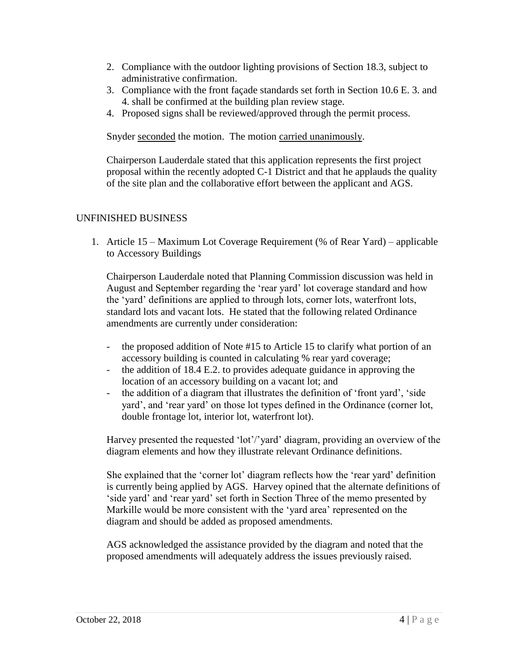- 2. Compliance with the outdoor lighting provisions of Section 18.3, subject to administrative confirmation.
- 3. Compliance with the front façade standards set forth in Section 10.6 E. 3. and 4. shall be confirmed at the building plan review stage.
- 4. Proposed signs shall be reviewed/approved through the permit process.

Snyder seconded the motion. The motion carried unanimously.

Chairperson Lauderdale stated that this application represents the first project proposal within the recently adopted C-1 District and that he applauds the quality of the site plan and the collaborative effort between the applicant and AGS.

# UNFINISHED BUSINESS

1. Article 15 – Maximum Lot Coverage Requirement (% of Rear Yard) – applicable to Accessory Buildings

Chairperson Lauderdale noted that Planning Commission discussion was held in August and September regarding the 'rear yard' lot coverage standard and how the 'yard' definitions are applied to through lots, corner lots, waterfront lots, standard lots and vacant lots. He stated that the following related Ordinance amendments are currently under consideration:

- the proposed addition of Note #15 to Article 15 to clarify what portion of an accessory building is counted in calculating % rear yard coverage;
- the addition of 18.4 E.2. to provides adequate guidance in approving the location of an accessory building on a vacant lot; and
- the addition of a diagram that illustrates the definition of 'front yard', 'side yard', and 'rear yard' on those lot types defined in the Ordinance (corner lot, double frontage lot, interior lot, waterfront lot).

Harvey presented the requested 'lot'/'yard' diagram, providing an overview of the diagram elements and how they illustrate relevant Ordinance definitions.

She explained that the 'corner lot' diagram reflects how the 'rear yard' definition is currently being applied by AGS. Harvey opined that the alternate definitions of 'side yard' and 'rear yard' set forth in Section Three of the memo presented by Markille would be more consistent with the 'yard area' represented on the diagram and should be added as proposed amendments.

AGS acknowledged the assistance provided by the diagram and noted that the proposed amendments will adequately address the issues previously raised.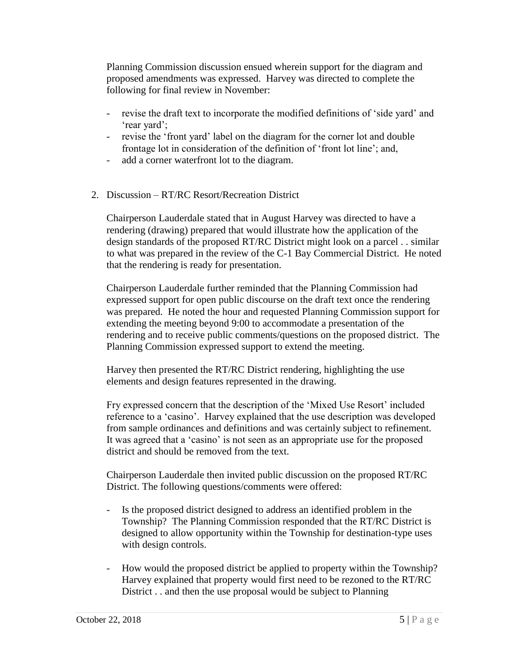Planning Commission discussion ensued wherein support for the diagram and proposed amendments was expressed. Harvey was directed to complete the following for final review in November:

- revise the draft text to incorporate the modified definitions of 'side yard' and 'rear yard';
- revise the 'front yard' label on the diagram for the corner lot and double frontage lot in consideration of the definition of 'front lot line'; and,
- add a corner waterfront lot to the diagram.
- 2. Discussion RT/RC Resort/Recreation District

Chairperson Lauderdale stated that in August Harvey was directed to have a rendering (drawing) prepared that would illustrate how the application of the design standards of the proposed RT/RC District might look on a parcel . . similar to what was prepared in the review of the C-1 Bay Commercial District. He noted that the rendering is ready for presentation.

Chairperson Lauderdale further reminded that the Planning Commission had expressed support for open public discourse on the draft text once the rendering was prepared. He noted the hour and requested Planning Commission support for extending the meeting beyond 9:00 to accommodate a presentation of the rendering and to receive public comments/questions on the proposed district. The Planning Commission expressed support to extend the meeting.

Harvey then presented the RT/RC District rendering, highlighting the use elements and design features represented in the drawing.

Fry expressed concern that the description of the 'Mixed Use Resort' included reference to a 'casino'. Harvey explained that the use description was developed from sample ordinances and definitions and was certainly subject to refinement. It was agreed that a 'casino' is not seen as an appropriate use for the proposed district and should be removed from the text.

Chairperson Lauderdale then invited public discussion on the proposed RT/RC District. The following questions/comments were offered:

- Is the proposed district designed to address an identified problem in the Township? The Planning Commission responded that the RT/RC District is designed to allow opportunity within the Township for destination-type uses with design controls.
- How would the proposed district be applied to property within the Township? Harvey explained that property would first need to be rezoned to the RT/RC District . . and then the use proposal would be subject to Planning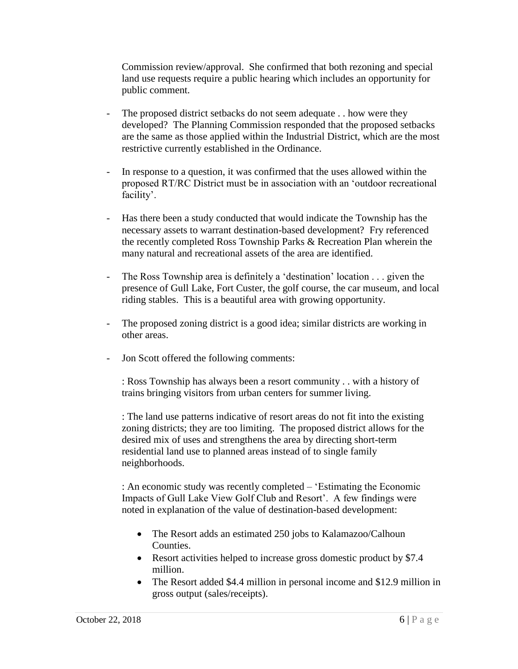Commission review/approval. She confirmed that both rezoning and special land use requests require a public hearing which includes an opportunity for public comment.

- The proposed district setbacks do not seem adequate . . how were they developed? The Planning Commission responded that the proposed setbacks are the same as those applied within the Industrial District, which are the most restrictive currently established in the Ordinance.
- In response to a question, it was confirmed that the uses allowed within the proposed RT/RC District must be in association with an 'outdoor recreational facility'.
- Has there been a study conducted that would indicate the Township has the necessary assets to warrant destination-based development? Fry referenced the recently completed Ross Township Parks & Recreation Plan wherein the many natural and recreational assets of the area are identified.
- The Ross Township area is definitely a 'destination' location . . . given the presence of Gull Lake, Fort Custer, the golf course, the car museum, and local riding stables. This is a beautiful area with growing opportunity.
- The proposed zoning district is a good idea; similar districts are working in other areas.
- Jon Scott offered the following comments:

: Ross Township has always been a resort community . . with a history of trains bringing visitors from urban centers for summer living.

: The land use patterns indicative of resort areas do not fit into the existing zoning districts; they are too limiting. The proposed district allows for the desired mix of uses and strengthens the area by directing short-term residential land use to planned areas instead of to single family neighborhoods.

: An economic study was recently completed – 'Estimating the Economic Impacts of Gull Lake View Golf Club and Resort'. A few findings were noted in explanation of the value of destination-based development:

- The Resort adds an estimated 250 jobs to Kalamazoo/Calhoun Counties.
- Resort activities helped to increase gross domestic product by \$7.4 million.
- The Resort added \$4.4 million in personal income and \$12.9 million in gross output (sales/receipts).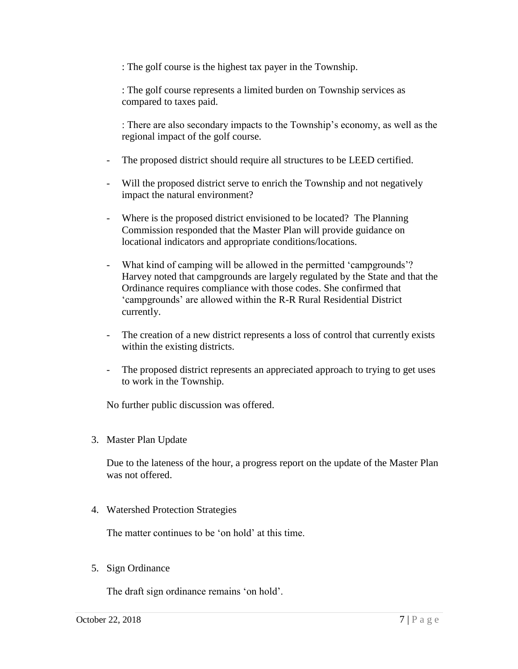: The golf course is the highest tax payer in the Township.

: The golf course represents a limited burden on Township services as compared to taxes paid.

: There are also secondary impacts to the Township's economy, as well as the regional impact of the golf course.

- The proposed district should require all structures to be LEED certified.
- Will the proposed district serve to enrich the Township and not negatively impact the natural environment?
- Where is the proposed district envisioned to be located? The Planning Commission responded that the Master Plan will provide guidance on locational indicators and appropriate conditions/locations.
- What kind of camping will be allowed in the permitted 'campgrounds'? Harvey noted that campgrounds are largely regulated by the State and that the Ordinance requires compliance with those codes. She confirmed that 'campgrounds' are allowed within the R-R Rural Residential District currently.
- The creation of a new district represents a loss of control that currently exists within the existing districts.
- The proposed district represents an appreciated approach to trying to get uses to work in the Township.

No further public discussion was offered.

3. Master Plan Update

Due to the lateness of the hour, a progress report on the update of the Master Plan was not offered.

4. Watershed Protection Strategies

The matter continues to be 'on hold' at this time.

5. Sign Ordinance

The draft sign ordinance remains 'on hold'.